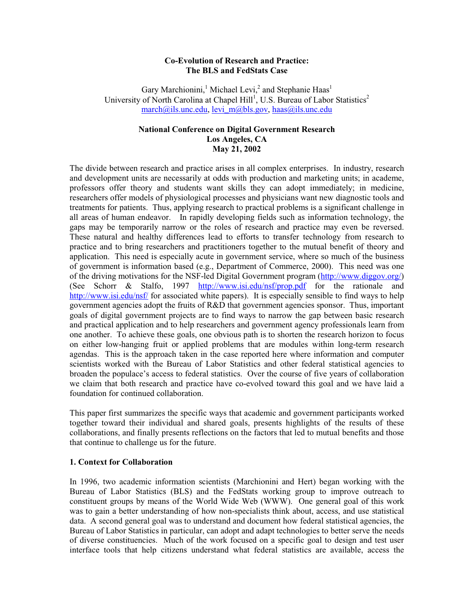### **Co-Evolution of Research and Practice: The BLS and FedStats Case**

Gary Marchionini,<sup>1</sup> Michael Levi,<sup>2</sup> and Stephanie Haas<sup>1</sup> University of North Carolina at Chapel Hill<sup>1</sup>, U.S. Bureau of Labor Statistics<sup>2</sup> march@ils.unc.edu, levi\_m@bls.gov, haas@ils.unc.edu

# **National Conference on Digital Government Research Los Angeles, CA May 21, 2002**

The divide between research and practice arises in all complex enterprises. In industry, research and development units are necessarily at odds with production and marketing units; in academe, professors offer theory and students want skills they can adopt immediately; in medicine, researchers offer models of physiological processes and physicians want new diagnostic tools and treatments for patients. Thus, applying research to practical problems is a significant challenge in all areas of human endeavor. In rapidly developing fields such as information technology, the gaps may be temporarily narrow or the roles of research and practice may even be reversed. These natural and healthy differences lead to efforts to transfer technology from research to practice and to bring researchers and practitioners together to the mutual benefit of theory and application. This need is especially acute in government service, where so much of the business of government is information based (e.g., Department of Commerce, 2000). This need was one of the driving motivations for the NSF-led Digital Government program (http://www.diggov.org/) (See Schorr & Stalfo, 1997 http://www.isi.edu/nsf/prop.pdf for the rationale and http://www.isi.edu/nsf/ for associated white papers). It is especially sensible to find ways to help government agencies adopt the fruits of R&D that government agencies sponsor. Thus, important goals of digital government projects are to find ways to narrow the gap between basic research and practical application and to help researchers and government agency professionals learn from one another. To achieve these goals, one obvious path is to shorten the research horizon to focus on either low-hanging fruit or applied problems that are modules within long-term research agendas. This is the approach taken in the case reported here where information and computer scientists worked with the Bureau of Labor Statistics and other federal statistical agencies to broaden the populace's access to federal statistics. Over the course of five years of collaboration we claim that both research and practice have co-evolved toward this goal and we have laid a foundation for continued collaboration.

This paper first summarizes the specific ways that academic and government participants worked together toward their individual and shared goals, presents highlights of the results of these collaborations, and finally presents reflections on the factors that led to mutual benefits and those that continue to challenge us for the future.

#### **1. Context for Collaboration**

In 1996, two academic information scientists (Marchionini and Hert) began working with the Bureau of Labor Statistics (BLS) and the FedStats working group to improve outreach to constituent groups by means of the World Wide Web (WWW). One general goal of this work was to gain a better understanding of how non-specialists think about, access, and use statistical data. A second general goal was to understand and document how federal statistical agencies, the Bureau of Labor Statistics in particular, can adopt and adapt technologies to better serve the needs of diverse constituencies. Much of the work focused on a specific goal to design and test user interface tools that help citizens understand what federal statistics are available, access the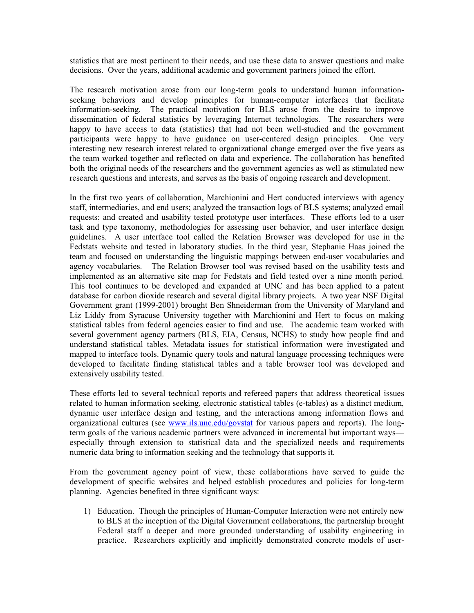statistics that are most pertinent to their needs, and use these data to answer questions and make decisions. Over the years, additional academic and government partners joined the effort.

The research motivation arose from our long-term goals to understand human informationseeking behaviors and develop principles for human-computer interfaces that facilitate information-seeking. The practical motivation for BLS arose from the desire to improve dissemination of federal statistics by leveraging Internet technologies. The researchers were happy to have access to data (statistics) that had not been well-studied and the government participants were happy to have guidance on user-centered design principles. One very interesting new research interest related to organizational change emerged over the five years as the team worked together and reflected on data and experience. The collaboration has benefited both the original needs of the researchers and the government agencies as well as stimulated new research questions and interests, and serves as the basis of ongoing research and development.

In the first two years of collaboration, Marchionini and Hert conducted interviews with agency staff, intermediaries, and end users; analyzed the transaction logs of BLS systems; analyzed email requests; and created and usability tested prototype user interfaces. These efforts led to a user task and type taxonomy, methodologies for assessing user behavior, and user interface design guidelines. A user interface tool called the Relation Browser was developed for use in the Fedstats website and tested in laboratory studies. In the third year, Stephanie Haas joined the team and focused on understanding the linguistic mappings between end-user vocabularies and agency vocabularies. The Relation Browser tool was revised based on the usability tests and implemented as an alternative site map for Fedstats and field tested over a nine month period. This tool continues to be developed and expanded at UNC and has been applied to a patent database for carbon dioxide research and several digital library projects. A two year NSF Digital Government grant (1999-2001) brought Ben Shneiderman from the University of Maryland and Liz Liddy from Syracuse University together with Marchionini and Hert to focus on making statistical tables from federal agencies easier to find and use. The academic team worked with several government agency partners (BLS, EIA, Census, NCHS) to study how people find and understand statistical tables. Metadata issues for statistical information were investigated and mapped to interface tools. Dynamic query tools and natural language processing techniques were developed to facilitate finding statistical tables and a table browser tool was developed and extensively usability tested.

These efforts led to several technical reports and refereed papers that address theoretical issues related to human information seeking, electronic statistical tables (e-tables) as a distinct medium, dynamic user interface design and testing, and the interactions among information flows and organizational cultures (see www.ils.unc.edu/govstat for various papers and reports). The longterm goals of the various academic partners were advanced in incremental but important ways especially through extension to statistical data and the specialized needs and requirements numeric data bring to information seeking and the technology that supports it.

From the government agency point of view, these collaborations have served to guide the development of specific websites and helped establish procedures and policies for long-term planning. Agencies benefited in three significant ways:

1) Education. Though the principles of Human-Computer Interaction were not entirely new to BLS at the inception of the Digital Government collaborations, the partnership brought Federal staff a deeper and more grounded understanding of usability engineering in practice. Researchers explicitly and implicitly demonstrated concrete models of user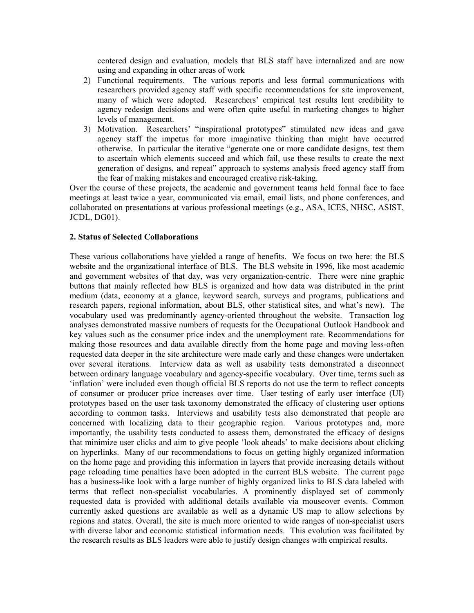centered design and evaluation, models that BLS staff have internalized and are now using and expanding in other areas of work

- 2) Functional requirements. The various reports and less formal communications with researchers provided agency staff with specific recommendations for site improvement, many of which were adopted. Researchers' empirical test results lent credibility to agency redesign decisions and were often quite useful in marketing changes to higher levels of management.
- 3) Motivation. Researchers' "inspirational prototypes" stimulated new ideas and gave agency staff the impetus for more imaginative thinking than might have occurred otherwise. In particular the iterative "generate one or more candidate designs, test them to ascertain which elements succeed and which fail, use these results to create the next generation of designs, and repeat" approach to systems analysis freed agency staff from the fear of making mistakes and encouraged creative risk-taking.

Over the course of these projects, the academic and government teams held formal face to face meetings at least twice a year, communicated via email, email lists, and phone conferences, and collaborated on presentations at various professional meetings (e.g., ASA, ICES, NHSC, ASIST, JCDL, DG01).

### **2. Status of Selected Collaborations**

These various collaborations have yielded a range of benefits. We focus on two here: the BLS website and the organizational interface of BLS. The BLS website in 1996, like most academic and government websites of that day, was very organization-centric. There were nine graphic buttons that mainly reflected how BLS is organized and how data was distributed in the print medium (data, economy at a glance, keyword search, surveys and programs, publications and research papers, regional information, about BLS, other statistical sites, and what's new). The vocabulary used was predominantly agency-oriented throughout the website. Transaction log analyses demonstrated massive numbers of requests for the Occupational Outlook Handbook and key values such as the consumer price index and the unemployment rate. Recommendations for making those resources and data available directly from the home page and moving less-often requested data deeper in the site architecture were made early and these changes were undertaken over several iterations. Interview data as well as usability tests demonstrated a disconnect between ordinary language vocabulary and agency-specific vocabulary. Over time, terms such as 'inflation' were included even though official BLS reports do not use the term to reflect concepts of consumer or producer price increases over time. User testing of early user interface (UI) prototypes based on the user task taxonomy demonstrated the efficacy of clustering user options according to common tasks. Interviews and usability tests also demonstrated that people are concerned with localizing data to their geographic region. Various prototypes and, more importantly, the usability tests conducted to assess them, demonstrated the efficacy of designs that minimize user clicks and aim to give people 'look aheads' to make decisions about clicking on hyperlinks. Many of our recommendations to focus on getting highly organized information on the home page and providing this information in layers that provide increasing details without page reloading time penalties have been adopted in the current BLS website. The current page has a business-like look with a large number of highly organized links to BLS data labeled with terms that reflect non-specialist vocabularies. A prominently displayed set of commonly requested data is provided with additional details available via mouseover events. Common currently asked questions are available as well as a dynamic US map to allow selections by regions and states. Overall, the site is much more oriented to wide ranges of non-specialist users with diverse labor and economic statistical information needs. This evolution was facilitated by the research results as BLS leaders were able to justify design changes with empirical results.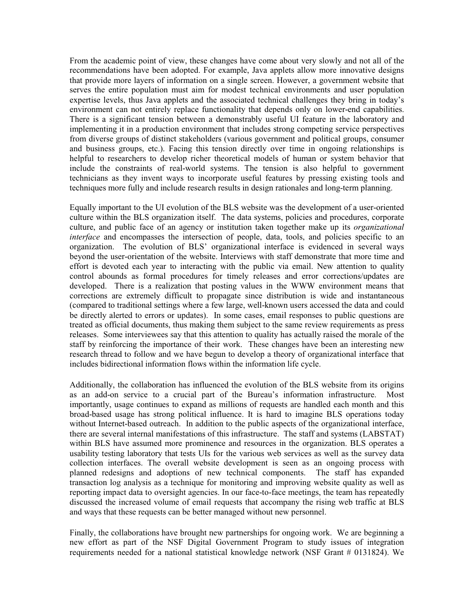From the academic point of view, these changes have come about very slowly and not all of the recommendations have been adopted. For example, Java applets allow more innovative designs that provide more layers of information on a single screen. However, a government website that serves the entire population must aim for modest technical environments and user population expertise levels, thus Java applets and the associated technical challenges they bring in today's environment can not entirely replace functionality that depends only on lower-end capabilities. There is a significant tension between a demonstrably useful UI feature in the laboratory and implementing it in a production environment that includes strong competing service perspectives from diverse groups of distinct stakeholders (various government and political groups, consumer and business groups, etc.). Facing this tension directly over time in ongoing relationships is helpful to researchers to develop richer theoretical models of human or system behavior that include the constraints of real-world systems. The tension is also helpful to government technicians as they invent ways to incorporate useful features by pressing existing tools and techniques more fully and include research results in design rationales and long-term planning.

Equally important to the UI evolution of the BLS website was the development of a user-oriented culture within the BLS organization itself. The data systems, policies and procedures, corporate culture, and public face of an agency or institution taken together make up its *organizational interface* and encompasses the intersection of people, data, tools, and policies specific to an organization. The evolution of BLS' organizational interface is evidenced in several ways beyond the user-orientation of the website. Interviews with staff demonstrate that more time and effort is devoted each year to interacting with the public via email. New attention to quality control abounds as formal procedures for timely releases and error corrections/updates are developed. There is a realization that posting values in the WWW environment means that corrections are extremely difficult to propagate since distribution is wide and instantaneous (compared to traditional settings where a few large, well-known users accessed the data and could be directly alerted to errors or updates). In some cases, email responses to public questions are treated as official documents, thus making them subject to the same review requirements as press releases. Some interviewees say that this attention to quality has actually raised the morale of the staff by reinforcing the importance of their work. These changes have been an interesting new research thread to follow and we have begun to develop a theory of organizational interface that includes bidirectional information flows within the information life cycle.

Additionally, the collaboration has influenced the evolution of the BLS website from its origins as an add-on service to a crucial part of the Bureau's information infrastructure. Most importantly, usage continues to expand as millions of requests are handled each month and this broad-based usage has strong political influence. It is hard to imagine BLS operations today without Internet-based outreach. In addition to the public aspects of the organizational interface, there are several internal manifestations of this infrastructure. The staff and systems (LABSTAT) within BLS have assumed more prominence and resources in the organization. BLS operates a usability testing laboratory that tests UIs for the various web services as well as the survey data collection interfaces. The overall website development is seen as an ongoing process with planned redesigns and adoptions of new technical components. The staff has expanded transaction log analysis as a technique for monitoring and improving website quality as well as reporting impact data to oversight agencies. In our face-to-face meetings, the team has repeatedly discussed the increased volume of email requests that accompany the rising web traffic at BLS and ways that these requests can be better managed without new personnel.

Finally, the collaborations have brought new partnerships for ongoing work. We are beginning a new effort as part of the NSF Digital Government Program to study issues of integration requirements needed for a national statistical knowledge network (NSF Grant # 0131824). We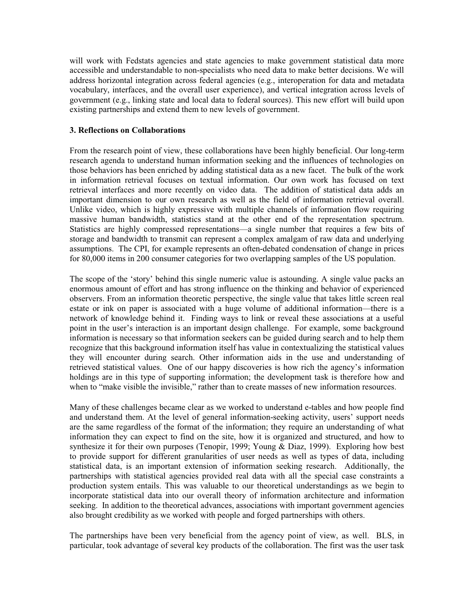will work with Fedstats agencies and state agencies to make government statistical data more accessible and understandable to non-specialists who need data to make better decisions. We will address horizontal integration across federal agencies (e.g., interoperation for data and metadata vocabulary, interfaces, and the overall user experience), and vertical integration across levels of government (e.g., linking state and local data to federal sources). This new effort will build upon existing partnerships and extend them to new levels of government.

### **3. Reflections on Collaborations**

From the research point of view, these collaborations have been highly beneficial. Our long-term research agenda to understand human information seeking and the influences of technologies on those behaviors has been enriched by adding statistical data as a new facet. The bulk of the work in information retrieval focuses on textual information. Our own work has focused on text retrieval interfaces and more recently on video data. The addition of statistical data adds an important dimension to our own research as well as the field of information retrieval overall. Unlike video, which is highly expressive with multiple channels of information flow requiring massive human bandwidth, statistics stand at the other end of the representation spectrum. Statistics are highly compressed representations—a single number that requires a few bits of storage and bandwidth to transmit can represent a complex amalgam of raw data and underlying assumptions. The CPI, for example represents an often-debated condensation of change in prices for 80,000 items in 200 consumer categories for two overlapping samples of the US population.

The scope of the 'story' behind this single numeric value is astounding. A single value packs an enormous amount of effort and has strong influence on the thinking and behavior of experienced observers. From an information theoretic perspective, the single value that takes little screen real estate or ink on paper is associated with a huge volume of additional information—there is a network of knowledge behind it. Finding ways to link or reveal these associations at a useful point in the user's interaction is an important design challenge. For example, some background information is necessary so that information seekers can be guided during search and to help them recognize that this background information itself has value in contextualizing the statistical values they will encounter during search. Other information aids in the use and understanding of retrieved statistical values. One of our happy discoveries is how rich the agency's information holdings are in this type of supporting information; the development task is therefore how and when to "make visible the invisible," rather than to create masses of new information resources.

Many of these challenges became clear as we worked to understand e-tables and how people find and understand them. At the level of general information-seeking activity, users' support needs are the same regardless of the format of the information; they require an understanding of what information they can expect to find on the site, how it is organized and structured, and how to synthesize it for their own purposes (Tenopir, 1999; Young & Diaz, 1999). Exploring how best to provide support for different granularities of user needs as well as types of data, including statistical data, is an important extension of information seeking research. Additionally, the partnerships with statistical agencies provided real data with all the special case constraints a production system entails. This was valuable to our theoretical understandings as we begin to incorporate statistical data into our overall theory of information architecture and information seeking. In addition to the theoretical advances, associations with important government agencies also brought credibility as we worked with people and forged partnerships with others.

The partnerships have been very beneficial from the agency point of view, as well. BLS, in particular, took advantage of several key products of the collaboration. The first was the user task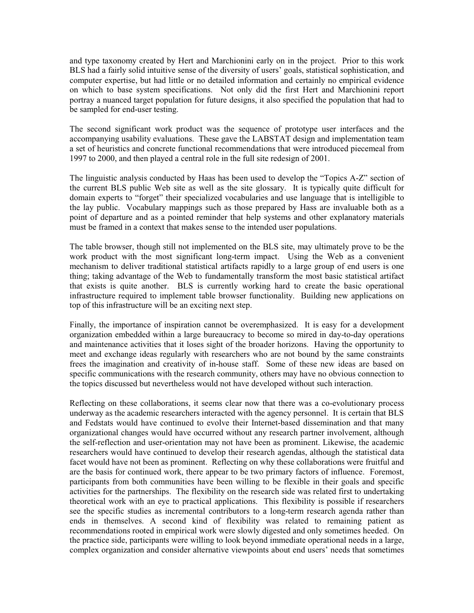and type taxonomy created by Hert and Marchionini early on in the project. Prior to this work BLS had a fairly solid intuitive sense of the diversity of users' goals, statistical sophistication, and computer expertise, but had little or no detailed information and certainly no empirical evidence on which to base system specifications. Not only did the first Hert and Marchionini report portray a nuanced target population for future designs, it also specified the population that had to be sampled for end-user testing.

The second significant work product was the sequence of prototype user interfaces and the accompanying usability evaluations. These gave the LABSTAT design and implementation team a set of heuristics and concrete functional recommendations that were introduced piecemeal from 1997 to 2000, and then played a central role in the full site redesign of 2001.

The linguistic analysis conducted by Haas has been used to develop the "Topics A-Z" section of the current BLS public Web site as well as the site glossary. It is typically quite difficult for domain experts to "forget" their specialized vocabularies and use language that is intelligible to the lay public. Vocabulary mappings such as those prepared by Hass are invaluable both as a point of departure and as a pointed reminder that help systems and other explanatory materials must be framed in a context that makes sense to the intended user populations.

The table browser, though still not implemented on the BLS site, may ultimately prove to be the work product with the most significant long-term impact. Using the Web as a convenient mechanism to deliver traditional statistical artifacts rapidly to a large group of end users is one thing; taking advantage of the Web to fundamentally transform the most basic statistical artifact that exists is quite another. BLS is currently working hard to create the basic operational infrastructure required to implement table browser functionality. Building new applications on top of this infrastructure will be an exciting next step.

Finally, the importance of inspiration cannot be overemphasized. It is easy for a development organization embedded within a large bureaucracy to become so mired in day-to-day operations and maintenance activities that it loses sight of the broader horizons. Having the opportunity to meet and exchange ideas regularly with researchers who are not bound by the same constraints frees the imagination and creativity of in-house staff. Some of these new ideas are based on specific communications with the research community, others may have no obvious connection to the topics discussed but nevertheless would not have developed without such interaction.

Reflecting on these collaborations, it seems clear now that there was a co-evolutionary process underway as the academic researchers interacted with the agency personnel. It is certain that BLS and Fedstats would have continued to evolve their Internet-based dissemination and that many organizational changes would have occurred without any research partner involvement, although the self-reflection and user-orientation may not have been as prominent. Likewise, the academic researchers would have continued to develop their research agendas, although the statistical data facet would have not been as prominent. Reflecting on why these collaborations were fruitful and are the basis for continued work, there appear to be two primary factors of influence. Foremost, participants from both communities have been willing to be flexible in their goals and specific activities for the partnerships. The flexibility on the research side was related first to undertaking theoretical work with an eye to practical applications. This flexibility is possible if researchers see the specific studies as incremental contributors to a long-term research agenda rather than ends in themselves. A second kind of flexibility was related to remaining patient as recommendations rooted in empirical work were slowly digested and only sometimes heeded. On the practice side, participants were willing to look beyond immediate operational needs in a large, complex organization and consider alternative viewpoints about end users' needs that sometimes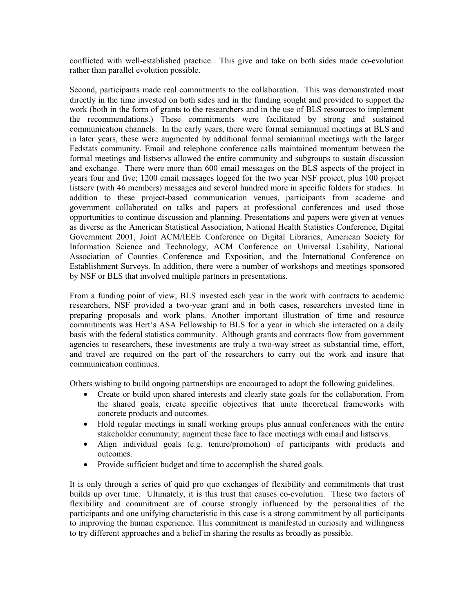conflicted with well-established practice. This give and take on both sides made co-evolution rather than parallel evolution possible.

Second, participants made real commitments to the collaboration. This was demonstrated most directly in the time invested on both sides and in the funding sought and provided to support the work (both in the form of grants to the researchers and in the use of BLS resources to implement the recommendations.) These commitments were facilitated by strong and sustained communication channels. In the early years, there were formal semiannual meetings at BLS and in later years, these were augmented by additional formal semiannual meetings with the larger Fedstats community. Email and telephone conference calls maintained momentum between the formal meetings and listservs allowed the entire community and subgroups to sustain discussion and exchange. There were more than 600 email messages on the BLS aspects of the project in years four and five; 1200 email messages logged for the two year NSF project, plus 100 project listserv (with 46 members) messages and several hundred more in specific folders for studies. In addition to these project-based communication venues, participants from academe and government collaborated on talks and papers at professional conferences and used those opportunities to continue discussion and planning. Presentations and papers were given at venues as diverse as the American Statistical Association, National Health Statistics Conference, Digital Government 2001, Joint ACM/IEEE Conference on Digital Libraries, American Society for Information Science and Technology, ACM Conference on Universal Usability, National Association of Counties Conference and Exposition, and the International Conference on Establishment Surveys. In addition, there were a number of workshops and meetings sponsored by NSF or BLS that involved multiple partners in presentations.

From a funding point of view, BLS invested each year in the work with contracts to academic researchers, NSF provided a two-year grant and in both cases, researchers invested time in preparing proposals and work plans. Another important illustration of time and resource commitments was Hert's ASA Fellowship to BLS for a year in which she interacted on a daily basis with the federal statistics community. Although grants and contracts flow from government agencies to researchers, these investments are truly a two-way street as substantial time, effort, and travel are required on the part of the researchers to carry out the work and insure that communication continues.

Others wishing to build ongoing partnerships are encouraged to adopt the following guidelines.

- Create or build upon shared interests and clearly state goals for the collaboration. From the shared goals, create specific objectives that unite theoretical frameworks with concrete products and outcomes.
- Hold regular meetings in small working groups plus annual conferences with the entire stakeholder community; augment these face to face meetings with email and listservs.
- Align individual goals (e.g. tenure/promotion) of participants with products and outcomes.
- Provide sufficient budget and time to accomplish the shared goals.

It is only through a series of quid pro quo exchanges of flexibility and commitments that trust builds up over time. Ultimately, it is this trust that causes co-evolution. These two factors of flexibility and commitment are of course strongly influenced by the personalities of the participants and one unifying characteristic in this case is a strong commitment by all participants to improving the human experience. This commitment is manifested in curiosity and willingness to try different approaches and a belief in sharing the results as broadly as possible.